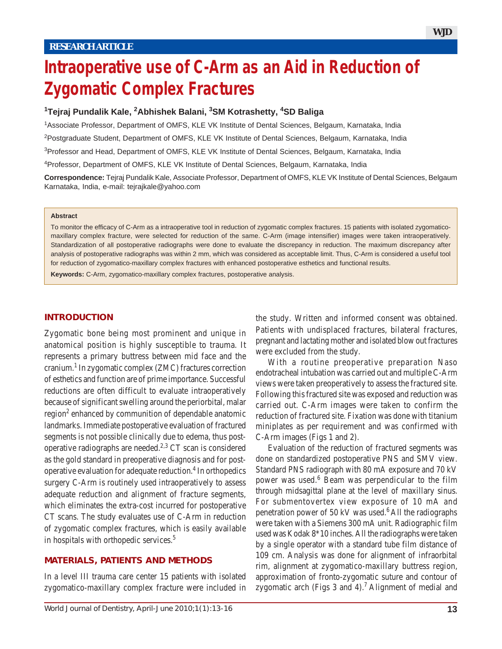# **Intraoperative use of C-Arm as an Aid in Reduction of Zygomatic Complex Fractures**

# **1 Tejraj Pundalik Kale, 2 Abhishek Balani, 3 SM Kotrashetty, 4 SD Baliga**

1Associate Professor, Department of OMFS, KLE VK Institute of Dental Sciences, Belgaum, Karnataka, India

<sup>2</sup>Postgraduate Student, Department of OMFS, KLE VK Institute of Dental Sciences, Belgaum, Karnataka, India

<sup>3</sup>Professor and Head, Department of OMFS, KLE VK Institute of Dental Sciences, Belgaum, Karnataka, India

4Professor, Department of OMFS, KLE VK Institute of Dental Sciences, Belgaum, Karnataka, India

**Correspondence:** Tejraj Pundalik Kale, Associate Professor, Department of OMFS, KLE VK Institute of Dental Sciences, Belgaum Karnataka, India, e-mail: tejrajkale@yahoo.com

#### **Abstract**

To monitor the efficacy of C-Arm as a intraoperative tool in reduction of zygomatic complex fractures. 15 patients with isolated zygomaticomaxillary complex fracture, were selected for reduction of the same. C-Arm (image intensifier) images were taken intraoperatively. Standardization of all postoperative radiographs were done to evaluate the discrepancy in reduction. The maximum discrepancy after analysis of postoperative radiographs was within 2 mm, which was considered as acceptable limit. Thus, C-Arm is considered a useful tool for reduction of zygomatico-maxillary complex fractures with enhanced postoperative esthetics and functional results.

**Keywords:** C-Arm, zygomatico-maxillary complex fractures, postoperative analysis.

#### **INTRODUCTION**

Zygomatic bone being most prominent and unique in anatomical position is highly susceptible to trauma. It represents a primary buttress between mid face and the cranium.<sup>1</sup> In zygomatic complex (ZMC) fractures correction of esthetics and function are of prime importance. Successful reductions are often difficult to evaluate intraoperatively because of significant swelling around the periorbital, malar region<sup>2</sup> enhanced by communition of dependable anatomic landmarks. Immediate postoperative evaluation of fractured segments is not possible clinically due to edema, thus postoperative radiographs are needed.<sup>2,3</sup> CT scan is considered as the gold standard in preoperative diagnosis and for postoperative evaluation for adequate reduction.<sup>4</sup> In orthopedics surgery C-Arm is routinely used intraoperatively to assess adequate reduction and alignment of fracture segments, which eliminates the extra-cost incurred for postoperative CT scans. The study evaluates use of C-Arm in reduction of zygomatic complex fractures, which is easily available in hospitals with orthopedic services.5

#### **MATERIALS, PATIENTS AND METHODS**

In a level III trauma care center 15 patients with isolated zygomatico-maxillary complex fracture were included in

the study. Written and informed consent was obtained. Patients with undisplaced fractures, bilateral fractures, pregnant and lactating mother and isolated blow out fractures were excluded from the study.

With a routine preoperative preparation Naso endotracheal intubation was carried out and multiple C-Arm views were taken preoperatively to assess the fractured site. Following this fractured site was exposed and reduction was carried out. C-Arm images were taken to confirm the reduction of fractured site. Fixation was done with titanium miniplates as per requirement and was confirmed with C-Arm images (Figs 1 and 2).

Evaluation of the reduction of fractured segments was done on standardized postoperative PNS and SMV view. Standard PNS radiograph with 80 mA exposure and 70 kV power was used.<sup>6</sup> Beam was perpendicular to the film through midsagittal plane at the level of maxillary sinus. For submentovertex view exposure of 10 mA and penetration power of 50 kV was used.<sup>6</sup> All the radiographs were taken with a Siemens 300 mA unit. Radiographic film used was Kodak 8\*10 inches. All the radiographs were taken by a single operator with a standard tube film distance of 109 cm. Analysis was done for alignment of infraorbital rim, alignment at zygomatico-maxillary buttress region, approximation of fronto-zygomatic suture and contour of zygomatic arch (Figs 3 and 4).<sup>7</sup> Alignment of medial and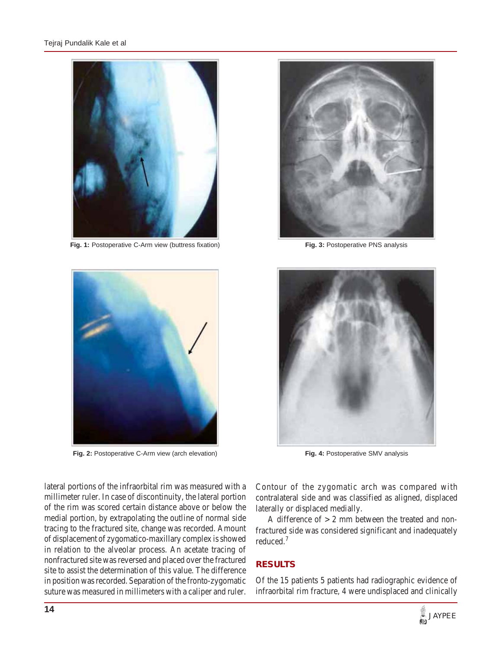

**Fig. 1:** Postoperative C-Arm view (buttress fixation)



**Fig. 2:** Postoperative C-Arm view (arch elevation)

**Fig. 3:** Postoperative PNS analysis



**Fig. 4:** Postoperative SMV analysis

lateral portions of the infraorbital rim was measured with a millimeter ruler. In case of discontinuity, the lateral portion of the rim was scored certain distance above or below the medial portion, by extrapolating the outline of normal side tracing to the fractured site, change was recorded. Amount of displacement of zygomatico-maxillary complex is showed in relation to the alveolar process. An acetate tracing of nonfractured site was reversed and placed over the fractured site to assist the determination of this value. The difference in position was recorded. Separation of the fronto-zygomatic suture was measured in millimeters with a caliper and ruler.

Contour of the zygomatic arch was compared with contralateral side and was classified as aligned, displaced laterally or displaced medially.

A difference of  $> 2$  mm between the treated and nonfractured side was considered significant and inadequately reduced.<sup>7</sup>

# **RESULTS**

Of the 15 patients 5 patients had radiographic evidence of infraorbital rim fracture, 4 were undisplaced and clinically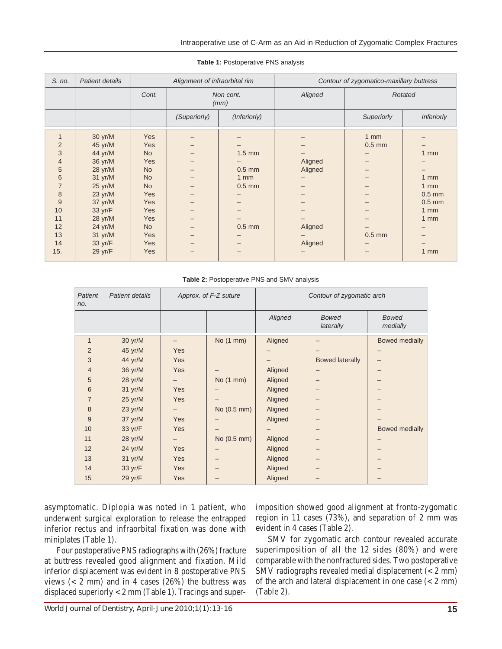| S. no.         | Patient details   | Alignment of infraorbital rim |                   |                | Contour of zygomatico-maxillary buttress |            |                   |
|----------------|-------------------|-------------------------------|-------------------|----------------|------------------------------------------|------------|-------------------|
|                |                   | Cont.                         | Non cont.<br>(mm) |                | Aligned                                  | Rotated    |                   |
|                |                   |                               | (Superiorly)      | (Inferiorly)   |                                          | Superiorly | <b>Inferiorly</b> |
| 1              | 30 yr/M           | Yes                           |                   |                |                                          | $1$ mm     |                   |
| $\overline{2}$ | 45 yr/M           | Yes                           |                   |                |                                          | $0.5$ mm   |                   |
| 3              | 44 yr/M           | <b>No</b>                     |                   | $1.5$ mm       |                                          |            | $1 \text{ mm}$    |
| $\overline{4}$ | 36 yr/M           | Yes                           |                   |                | Aligned                                  |            |                   |
| 5              | $28$ yr/M         | <b>No</b>                     |                   | $0.5$ mm       | Aligned                                  |            |                   |
| 6              | 31 yr/M           | <b>No</b>                     |                   | $1 \text{ mm}$ |                                          |            | $1$ mm            |
| $\overline{7}$ | $25 \text{ yr/M}$ | <b>No</b>                     |                   | $0.5$ mm       |                                          |            | $1 \text{ mm}$    |
| 8              | $23 \text{ yr/M}$ | <b>Yes</b>                    |                   |                |                                          |            | $0.5$ mm          |
| 9              | 37 yr/M           | <b>Yes</b>                    |                   |                |                                          |            | $0.5$ mm          |
| 10             | 33 yr/F           | <b>Yes</b>                    |                   |                |                                          |            | $1 \text{ mm}$    |
| 11             | 28 yr/M           | <b>Yes</b>                    |                   |                |                                          |            | $1 \text{ mm}$    |
| 12             | 24 yr/M           | <b>No</b>                     |                   | $0.5$ mm       | Aligned                                  |            |                   |
| 13             | $31 \text{ yr/M}$ | <b>Yes</b>                    |                   |                |                                          | $0.5$ mm   |                   |
| 14             | 33 yr/F           | <b>Yes</b>                    |                   |                | Aligned                                  |            |                   |
| 15.            | 29 yr/F           | Yes                           |                   |                |                                          |            | $1$ mm            |

#### **Table 1:** Postoperative PNS analysis

#### **Table 2:** Postoperative PNS and SMV analysis

| Patient<br>no. | Patient details   | Approx. of F-Z suture |             | Contour of zygomatic arch |                           |                          |  |
|----------------|-------------------|-----------------------|-------------|---------------------------|---------------------------|--------------------------|--|
|                |                   |                       |             | Aligned                   | <b>Bowed</b><br>laterally | <b>Bowed</b><br>medially |  |
| $\mathbf{1}$   | 30 yr/M           | -                     | No (1 mm)   | Aligned                   |                           | <b>Bowed medially</b>    |  |
| $\overline{2}$ | 45 yr/M           | Yes                   |             |                           |                           |                          |  |
| 3              | 44 yr/M           | Yes                   |             |                           | <b>Bowed laterally</b>    |                          |  |
| $\overline{4}$ | 36 yr/M           | Yes                   |             | Aligned                   |                           |                          |  |
| 5              | $28 \text{ yr/M}$ |                       | No(1 mm)    | Aligned                   |                           |                          |  |
| 6              | $31 \text{ yr/M}$ | Yes                   |             | Aligned                   |                           |                          |  |
| $\overline{7}$ | $25 \text{ yr/M}$ | Yes                   |             | Aligned                   |                           |                          |  |
| 8              | 23 yr/M           | -                     | No (0.5 mm) | Aligned                   |                           |                          |  |
| 9              | 37 yr/M           | Yes                   |             | Aligned                   |                           |                          |  |
| 10             | 33 yr/F           | Yes                   |             |                           |                           | Bowed medially           |  |
| 11             | 28 yr/M           |                       | No (0.5 mm) | Aligned                   |                           |                          |  |
| 12             | $24$ yr/M         | Yes                   |             | Aligned                   |                           |                          |  |
| 13             | $31 \text{ yr/M}$ | Yes                   |             | Aligned                   |                           |                          |  |
| 14             | 33 yr/F           | Yes                   |             | Aligned                   |                           |                          |  |
| 15             | 29 yr/F           | Yes                   |             | Aligned                   |                           |                          |  |

asymptomatic. Diplopia was noted in 1 patient, who underwent surgical exploration to release the entrapped inferior rectus and infraorbital fixation was done with miniplates (Table 1).

Four postoperative PNS radiographs with (26%) fracture at buttress revealed good alignment and fixation. Mild inferior displacement was evident in 8 postoperative PNS views  $(< 2$  mm) and in 4 cases  $(26%)$  the buttress was displaced superiorly < 2 mm (Table 1). Tracings and superimposition showed good alignment at fronto-zygomatic region in 11 cases (73%), and separation of 2 mm was evident in 4 cases (Table 2).

SMV for zygomatic arch contour revealed accurate superimposition of all the 12 sides (80%) and were comparable with the nonfractured sides. Two postoperative SMV radiographs revealed medial displacement (< 2 mm) of the arch and lateral displacement in one case  $\left($  < 2 mm) (Table 2).